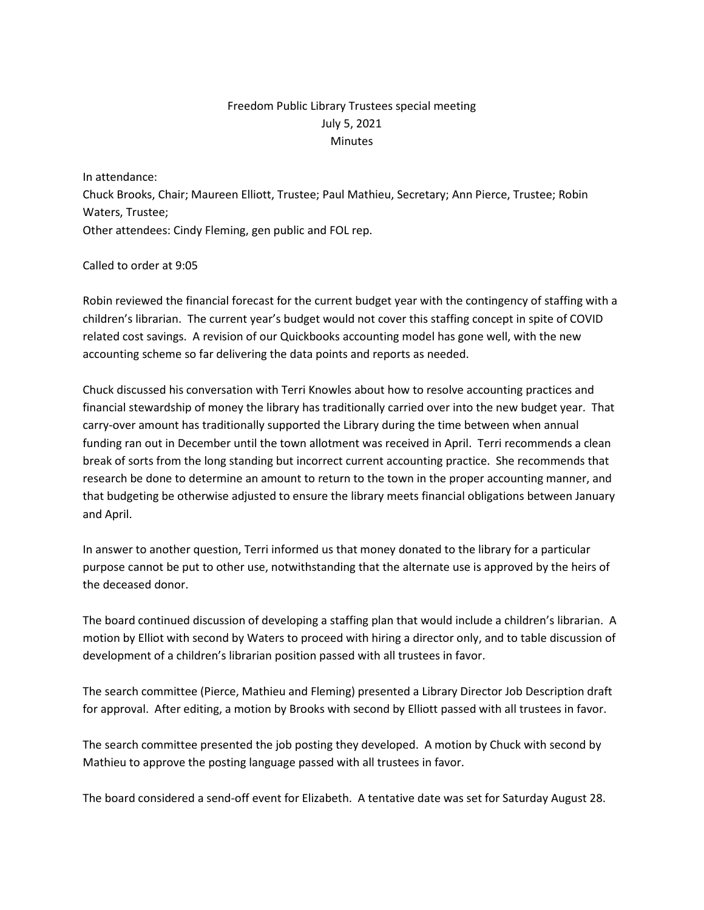## Freedom Public Library Trustees special meeting July 5, 2021 **Minutes**

In attendance:

Chuck Brooks, Chair; Maureen Elliott, Trustee; Paul Mathieu, Secretary; Ann Pierce, Trustee; Robin Waters, Trustee; Other attendees: Cindy Fleming, gen public and FOL rep.

## Called to order at 9:05

Robin reviewed the financial forecast for the current budget year with the contingency of staffing with a children's librarian. The current year's budget would not cover this staffing concept in spite of COVID related cost savings. A revision of our Quickbooks accounting model has gone well, with the new accounting scheme so far delivering the data points and reports as needed.

Chuck discussed his conversation with Terri Knowles about how to resolve accounting practices and financial stewardship of money the library has traditionally carried over into the new budget year. That carry-over amount has traditionally supported the Library during the time between when annual funding ran out in December until the town allotment was received in April. Terri recommends a clean break of sorts from the long standing but incorrect current accounting practice. She recommends that research be done to determine an amount to return to the town in the proper accounting manner, and that budgeting be otherwise adjusted to ensure the library meets financial obligations between January and April.

In answer to another question, Terri informed us that money donated to the library for a particular purpose cannot be put to other use, notwithstanding that the alternate use is approved by the heirs of the deceased donor.

The board continued discussion of developing a staffing plan that would include a children's librarian. A motion by Elliot with second by Waters to proceed with hiring a director only, and to table discussion of development of a children's librarian position passed with all trustees in favor.

The search committee (Pierce, Mathieu and Fleming) presented a Library Director Job Description draft for approval. After editing, a motion by Brooks with second by Elliott passed with all trustees in favor.

The search committee presented the job posting they developed. A motion by Chuck with second by Mathieu to approve the posting language passed with all trustees in favor.

The board considered a send-off event for Elizabeth. A tentative date was set for Saturday August 28.